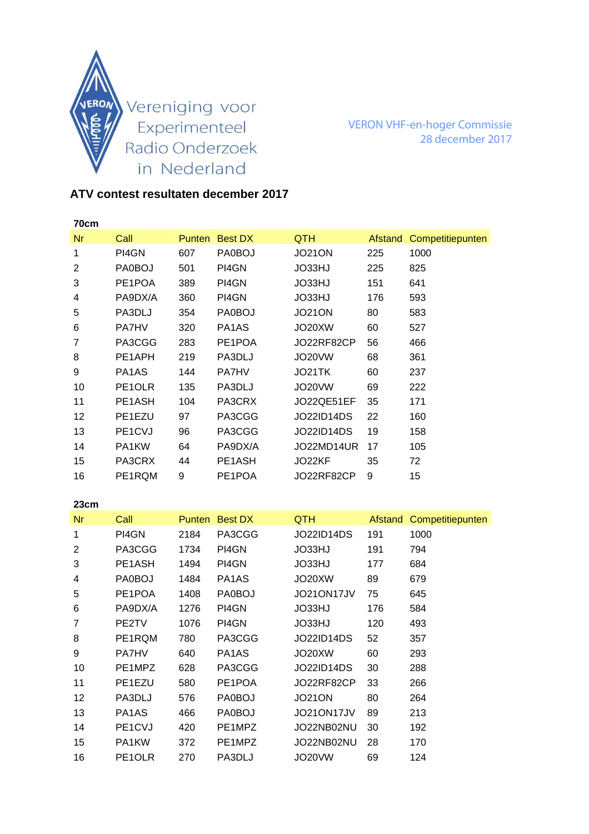

VERON VHF-en-hoger Commissie 28 december 2017

## **ATV contest resultaten december 2017**

| 70cm |                                 |               |                                |                   |         |                  |
|------|---------------------------------|---------------|--------------------------------|-------------------|---------|------------------|
| Nr   | Call                            | <b>Punten</b> | <b>Best DX</b>                 | <b>QTH</b>        | Afstand | Competitiepunten |
| 1    | PI4GN                           | 607           | PA0BOJ                         | <b>JO21ON</b>     | 225     | 1000             |
| 2    | PA0BOJ                          | 501           | PI4GN                          | JO33HJ            | 225     | 825              |
| 3    | PE1POA                          | 389           | PI4GN                          | JO33HJ            | 151     | 641              |
| 4    | PA9DX/A                         | 360           | PI4GN                          | JO33HJ            | 176     | 593              |
| 5    | PA3DLJ                          | 354           | PA0BOJ                         | <b>JO21ON</b>     | 80      | 583              |
| 6    | <b>PA7HV</b>                    | 320           | PA <sub>1</sub> A <sub>S</sub> | JO20XW            | 60      | 527              |
| 7    | PA3CGG                          | 283           | PE1POA                         | JO22RF82CP        | 56      | 466              |
| 8    | PE1APH                          | 219           | PA3DLJ                         | JO20VW            | 68      | 361              |
| 9    | PA1AS                           | 144           | <b>PA7HV</b>                   | JO21TK            | 60      | 237              |
| 10   | PE1OLR                          | 135           | PA3DLJ                         | JO20VW            | 69      | 222              |
| 11   | PE <sub>1</sub> A <sub>SH</sub> | 104           | PA3CRX                         | JO22QE51EF        | 35      | 171              |
| 12   | PE1EZU                          | 97            | PA3CGG                         | JO22ID14DS        | 22      | 160              |
| 13   | PE1CVJ                          | 96            | PA3CGG                         | <b>JO22ID14DS</b> | 19      | 158              |
| 14   | PA1KW                           | 64            | PA9DX/A                        | JO22MD14UR        | 17      | 105              |
| 15   | PA3CRX                          | 44            | PE1ASH                         | JO22KF            | 35      | 72               |
| 16   | PE1RQM                          | 9             | PE1POA                         | JO22RF82CP        | 9       | 15               |

| 23cm           |                                  |               |                |               |         |                  |
|----------------|----------------------------------|---------------|----------------|---------------|---------|------------------|
| <b>Nr</b>      | Call                             | <b>Punten</b> | <b>Best DX</b> | <b>QTH</b>    | Afstand | Competitiepunten |
| 1              | PI4GN                            | 2184          | PA3CGG         | JO22ID14DS    | 191     | 1000             |
| $\overline{2}$ | PA3CGG                           | 1734          | PI4GN          | JO33HJ        | 191     | 794              |
| 3              | PE1ASH                           | 1494          | PI4GN          | JO33HJ        | 177     | 684              |
| 4              | PA0BOJ                           | 1484          | PA1AS          | JO20XW        | 89      | 679              |
| 5              | PE1POA                           | 1408          | PA0BOJ         | JO21ON17JV    | 75      | 645              |
| 6              | PA9DX/A                          | 1276          | PI4GN          | JO33HJ        | 176     | 584              |
| 7              | PE2TV                            | 1076          | PI4GN          | JO33HJ        | 120     | 493              |
| 8              | PE1RQM                           | 780           | PA3CGG         | JO22ID14DS    | 52      | 357              |
| 9              | <b>PA7HV</b>                     | 640           | PA1AS          | JO20XW        | 60      | 293              |
| 10             | PE1MPZ                           | 628           | PA3CGG         | JO22ID14DS    | 30      | 288              |
| 11             | PE1EZU                           | 580           | PE1POA         | JO22RF82CP    | 33      | 266              |
| 12             | PA3DLJ                           | 576           | PA0BOJ         | <b>JO21ON</b> | 80      | 264              |
| 13             | PA <sub>1</sub> A <sub>S</sub>   | 466           | PA0BOJ         | JO21ON17JV    | 89      | 213              |
| 14             | PE <sub>1</sub> C <sub>V</sub> J | 420           | PE1MPZ         | JO22NB02NU    | 30      | 192              |
| 15             | PA1KW                            | 372           | PE1MPZ         | JO22NB02NU    | 28      | 170              |
| 16             | PE <sub>1</sub> OLR              | 270           | PA3DLJ         | JO20VW        | 69      | 124              |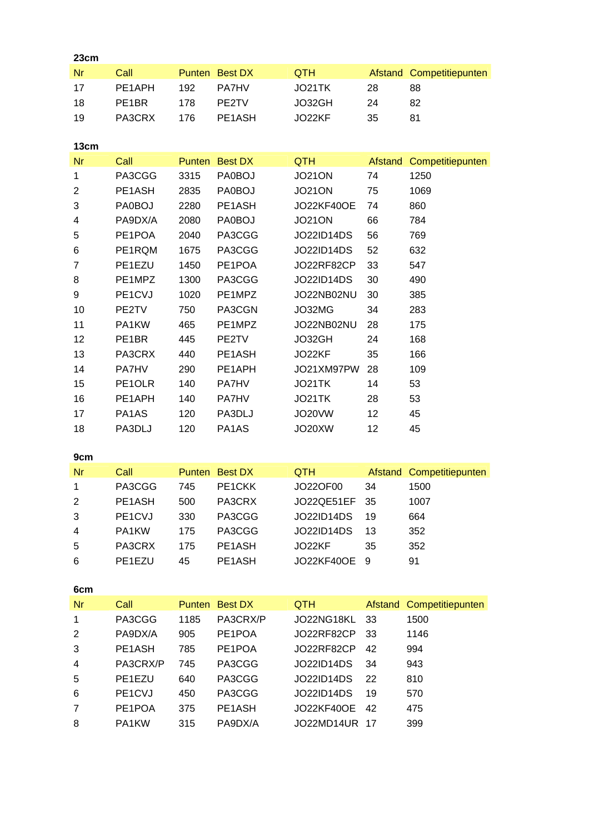| 23cm           |              |      |                |                   |         |                          |
|----------------|--------------|------|----------------|-------------------|---------|--------------------------|
| <b>Nr</b>      | Call         |      | Punten Best DX | <b>QTH</b>        |         | Afstand Competitiepunten |
| 17             | PE1APH       | 192  | PA7HV          | JO21TK            | 28      | 88                       |
| 18             | PE1BR        | 178  | PE2TV          | JO32GH            | 24      | 82                       |
| 19             | PA3CRX       | 176  | PE1ASH         | JO22KF            | 35      | 81                       |
|                |              |      |                |                   |         |                          |
| 13cm           |              |      |                |                   |         |                          |
| <b>Nr</b>      | Call         |      | Punten Best DX | <b>QTH</b>        | Afstand | Competitiepunten         |
| 1              | PA3CGG       | 3315 | PA0BOJ         | <b>JO21ON</b>     | 74      | 1250                     |
| $\overline{2}$ | PE1ASH       | 2835 | PA0BOJ         | <b>JO21ON</b>     | 75      | 1069                     |
| 3              | PA0BOJ       | 2280 | PE1ASH         | <b>JO22KF40OE</b> | 74      | 860                      |
| 4              | PA9DX/A      | 2080 | PA0BOJ         | <b>JO21ON</b>     | 66      | 784                      |
| 5              | PE1POA       | 2040 | PA3CGG         | <b>JO22ID14DS</b> | 56      | 769                      |
| 6              | PE1RQM       | 1675 | PA3CGG         | <b>JO22ID14DS</b> | 52      | 632                      |
| $\overline{7}$ | PE1EZU       | 1450 | PE1POA         | JO22RF82CP        | 33      | 547                      |
| 8              | PE1MPZ       | 1300 | PA3CGG         | <b>JO22ID14DS</b> | 30      | 490                      |
| 9              | PE1CVJ       | 1020 | PE1MPZ         | JO22NB02NU        | 30      | 385                      |
| 10             | PE2TV        | 750  | PA3CGN         | JO32MG            | 34      | 283                      |
| 11             | PA1KW        | 465  | PE1MPZ         | JO22NB02NU        | 28      | 175                      |
| 12             | PE1BR        | 445  | PE2TV          | JO32GH            | 24      | 168                      |
| 13             | PA3CRX       | 440  | PE1ASH         | JO22KF            | 35      | 166                      |
| 14             | <b>PA7HV</b> | 290  | PE1APH         | JO21XM97PW        | 28      | 109                      |
| 15             | PE1OLR       | 140  | PA7HV          | JO21TK            | 14      | 53                       |
| 16             | PE1APH       | 140  | PA7HV          | JO21TK            | 28      | 53                       |
| 17             | PA1AS        | 120  | PA3DLJ         | <b>JO20VW</b>     | 12      | 45                       |
| 18             | PA3DLJ       | 120  | PA1AS          | JO20XW            | 12      | 45                       |
|                |              |      |                |                   |         |                          |
| 9cm            |              |      |                |                   |         |                          |
| <b>Nr</b>      | Call         |      | Punten Best DX | <b>QTH</b>        | Afstand | Competitiepunten         |
| $\mathbf{1}$   | PA3CGG       | 745  | PE1CKK         | JO22OF00          | 34      | 1500                     |
| 2              | PE1ASH       | 500  | PA3CRX         | JO22QE51EF        | 35      | 1007                     |
| 3              | PE1CVJ       | 330  | PA3CGG         | JO22ID14DS        | 19      | 664                      |
| 4              | PA1KW        | 175  | PA3CGG         | <b>JO22ID14DS</b> | 13      | 352                      |
| 5              | PA3CRX       | 175  | PE1ASH         | JO22KF            | 35      | 352                      |
| 6              | PE1EZU       | 45   | PE1ASH         | <b>JO22KF40OE</b> | 9       | 91                       |
| 6cm            |              |      |                |                   |         |                          |
| <b>Nr</b>      | Call         |      | Punten Best DX | <b>QTH</b>        | Afstand | Competitiepunten         |
| 1              | PA3CGG       | 1185 | PA3CRX/P       | JO22NG18KL        | 33      | 1500                     |
| $\overline{2}$ | PA9DX/A      | 905  | PE1POA         | JO22RF82CP        | 33      | 1146                     |
| 3              | PE1ASH       | 785  | PE1POA         | JO22RF82CP        | 42      | 994                      |
| 4              | PA3CRX/P     | 745  | PA3CGG         | JO22ID14DS        | 34      | 943                      |
| 5              | PE1EZU       | 640  | PA3CGG         | <b>JO22ID14DS</b> | 22      | 810                      |
| 6              | PE1CVJ       | 450  | PA3CGG         | JO22ID14DS        | 19      | 570                      |
| $\overline{7}$ | PE1POA       | 375  | PE1ASH         | <b>JO22KF40OE</b> | 42      | 475                      |
| 8              | PA1KW        | 315  | PA9DX/A        | JO22MD14UR 17     |         | 399                      |
|                |              |      |                |                   |         |                          |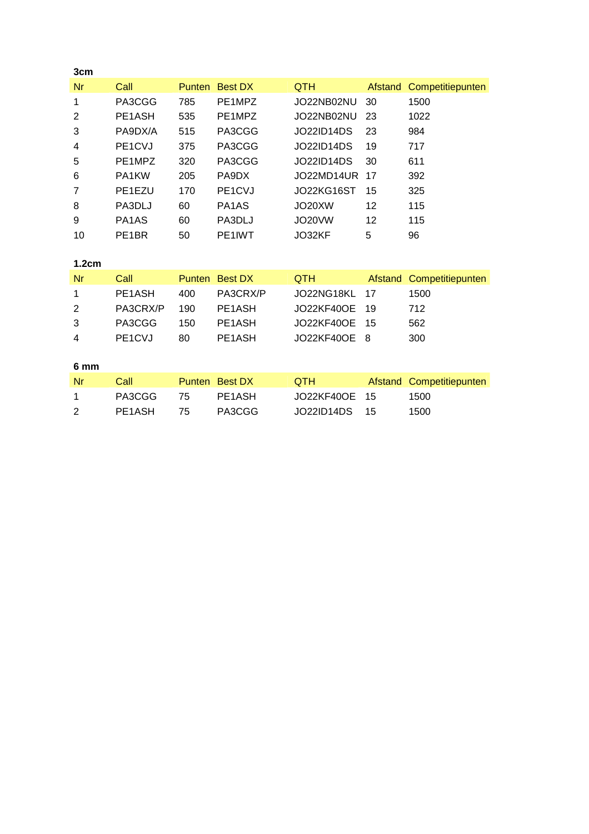| 3cm            |                                  |               |                                |                   |                |                  |
|----------------|----------------------------------|---------------|--------------------------------|-------------------|----------------|------------------|
| Nr             | Call                             | <b>Punten</b> | <b>Best DX</b>                 | <b>QTH</b>        | Afstand        | Competitiepunten |
| 1              | PA3CGG                           | 785           | PE1MPZ                         | JO22NB02NU        | 30             | 1500             |
| $\overline{2}$ | PE1ASH                           | 535           | PE1MPZ                         | JO22NB02NU        | 23             | 1022             |
| 3              | PA9DX/A                          | 515           | PA3CGG                         | <b>JO22ID14DS</b> | 23             | 984              |
| 4              | PE1CVJ                           | 375           | PA3CGG                         | <b>JO22ID14DS</b> | 19             | 717              |
| 5              | PE1MPZ                           | 320           | PA3CGG                         | <b>JO22ID14DS</b> | 30             | 611              |
| 6              | PA1KW                            | 205           | PA9DX                          | JO22MD14UR        | 17             | 392              |
| 7              | PE1EZU                           | 170           | PE1CVJ                         | JO22KG16ST        | 15             | 325              |
| 8              | PA3DLJ                           | 60            | PA <sub>1</sub> A <sub>S</sub> | JO20XW            | 12             | 115              |
| 9              | PA1AS                            | 60            | PA3DLJ                         | JO20VW            | 12             | 115              |
| 10             | PE <sub>1</sub> BR               | 50            | PE1IWT                         | JO32KF            | 5              | 96               |
|                |                                  |               |                                |                   |                |                  |
| 1.2cm          |                                  |               |                                |                   |                |                  |
| Nr             | Call                             | <b>Punten</b> | <b>Best DX</b>                 | QTH               | <b>Afstand</b> | Competitiepunten |
| 1              | PE1ASH                           | 400           | PA3CRX/P                       | JO22NG18KL        | 17             | 1500             |
| $\overline{2}$ | PA3CRX/P                         | 190           | PE1ASH                         | <b>JO22KF40OE</b> | 19             | 712              |
| 3              | PA3CGG                           | 150           | PE1ASH                         | <b>JO22KF40OE</b> | 15             | 562              |
| 4              | PE <sub>1</sub> C <sub>V</sub> J | 80            | PE1ASH                         | <b>JO22KF40OE</b> | 8              | 300              |
|                |                                  |               |                                |                   |                |                  |
| 6 mm           |                                  |               |                                |                   |                |                  |
| Nr             | Call                             |               | Punten Best DX                 | QTH               | Afstand        | Competitiepunten |
| 1              | PA3CGG                           | 75            | PE1ASH                         | <b>JO22KF40OE</b> | 15             | 1500             |
| $\overline{2}$ | PE1ASH                           | 75            | PA3CGG                         | <b>JO22ID14DS</b> | 15             | 1500             |